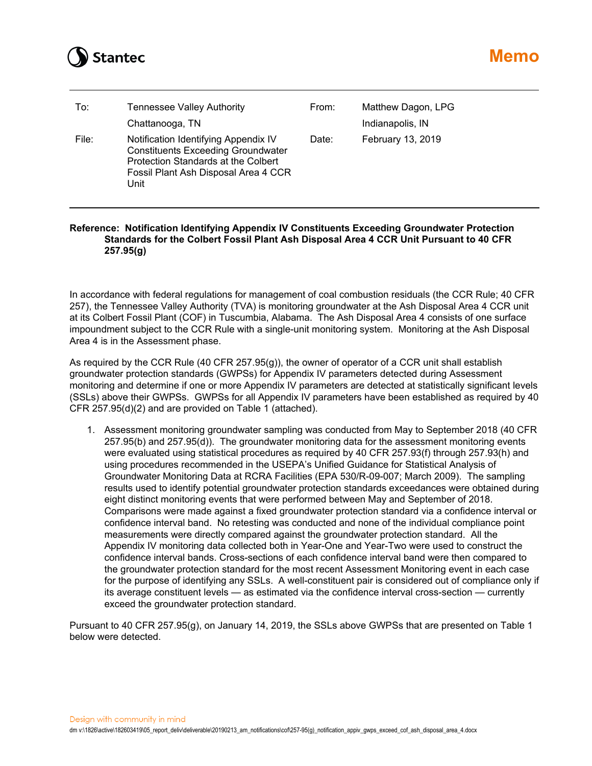

| To:   | <b>Tennessee Valley Authority</b><br>Chattanooga, TN                                                                                                                     | From: | Matthew Dagon, LPG<br>Indianapolis, IN |
|-------|--------------------------------------------------------------------------------------------------------------------------------------------------------------------------|-------|----------------------------------------|
| File: | Notification Identifying Appendix IV<br><b>Constituents Exceeding Groundwater</b><br>Protection Standards at the Colbert<br>Fossil Plant Ash Disposal Area 4 CCR<br>Unit | Date: | February 13, 2019                      |

## **Reference: Notification Identifying Appendix IV Constituents Exceeding Groundwater Protection Standards for the Colbert Fossil Plant Ash Disposal Area 4 CCR Unit Pursuant to 40 CFR 257.95(g)**

In accordance with federal regulations for management of coal combustion residuals (the CCR Rule; 40 CFR 257), the Tennessee Valley Authority (TVA) is monitoring groundwater at the Ash Disposal Area 4 CCR unit at its Colbert Fossil Plant (COF) in Tuscumbia, Alabama. The Ash Disposal Area 4 consists of one surface impoundment subject to the CCR Rule with a single-unit monitoring system. Monitoring at the Ash Disposal Area 4 is in the Assessment phase.

As required by the CCR Rule (40 CFR 257.95(g)), the owner of operator of a CCR unit shall establish groundwater protection standards (GWPSs) for Appendix IV parameters detected during Assessment monitoring and determine if one or more Appendix IV parameters are detected at statistically significant levels (SSLs) above their GWPSs. GWPSs for all Appendix IV parameters have been established as required by 40 CFR 257.95(d)(2) and are provided on Table 1 (attached).

1. Assessment monitoring groundwater sampling was conducted from May to September 2018 (40 CFR 257.95(b) and 257.95(d)). The groundwater monitoring data for the assessment monitoring events were evaluated using statistical procedures as required by 40 CFR 257.93(f) through 257.93(h) and using procedures recommended in the USEPA's Unified Guidance for Statistical Analysis of Groundwater Monitoring Data at RCRA Facilities (EPA 530/R-09-007; March 2009). The sampling results used to identify potential groundwater protection standards exceedances were obtained during eight distinct monitoring events that were performed between May and September of 2018. Comparisons were made against a fixed groundwater protection standard via a confidence interval or confidence interval band. No retesting was conducted and none of the individual compliance point measurements were directly compared against the groundwater protection standard. All the Appendix IV monitoring data collected both in Year-One and Year-Two were used to construct the confidence interval bands. Cross-sections of each confidence interval band were then compared to the groundwater protection standard for the most recent Assessment Monitoring event in each case for the purpose of identifying any SSLs. A well-constituent pair is considered out of compliance only if its average constituent levels — as estimated via the confidence interval cross-section — currently exceed the groundwater protection standard.

Pursuant to 40 CFR 257.95(g), on January 14, 2019, the SSLs above GWPSs that are presented on Table 1 below were detected.